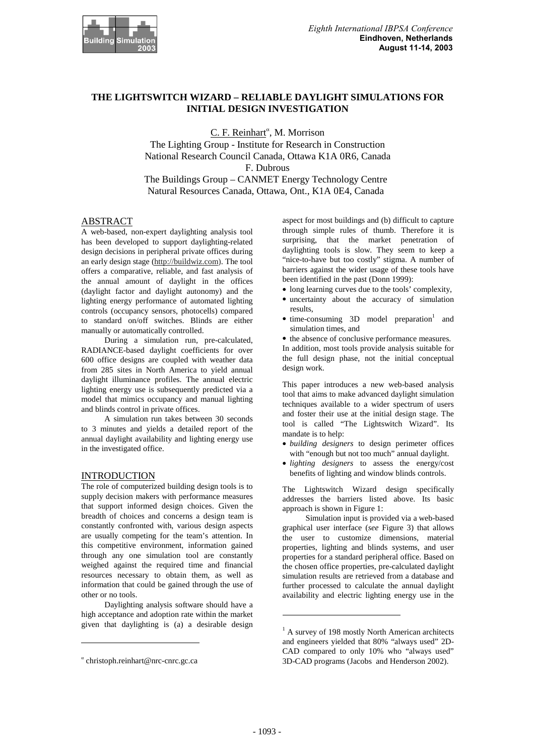

# **THE LIGHTSWITCH WIZARD – RELIABLE DAYLIGHT SIMULATIONS FOR INITIAL DESIGN INVESTIGATION**

C. F. Reinhart<sup>"</sup>, M. Morrison The Lighting Group - Institute for Research in Construction National Research Council Canada, Ottawa K1A 0R6, Canada F. Dubrous The Buildings Group – CANMET Energy Technology Centre Natural Resources Canada, Ottawa, Ont., K1A 0E4, Canada

# ABSTRACT

A web-based, non-expert daylighting analysis tool has been developed to support daylighting-related design decisions in peripheral private offices during an early design stage (http://buildwiz.com). The tool offers a comparative, reliable, and fast analysis of the annual amount of daylight in the offices (daylight factor and daylight autonomy) and the lighting energy performance of automated lighting controls (occupancy sensors, photocells) compared to standard on/off switches. Blinds are either manually or automatically controlled.

 During a simulation run, pre-calculated, RADIANCE-based daylight coefficients for over 600 office designs are coupled with weather data from 285 sites in North America to yield annual daylight illuminance profiles. The annual electric lighting energy use is subsequently predicted via a model that mimics occupancy and manual lighting and blinds control in private offices.

 A simulation run takes between 30 seconds to 3 minutes and yields a detailed report of the annual daylight availability and lighting energy use in the investigated office.

# **INTRODUCTION**

The role of computerized building design tools is to supply decision makers with performance measures that support informed design choices. Given the breadth of choices and concerns a design team is constantly confronted with, various design aspects are usually competing for the team's attention. In this competitive environment, information gained through any one simulation tool are constantly weighed against the required time and financial resources necessary to obtain them, as well as information that could be gained through the use of other or no tools.

 Daylighting analysis software should have a high acceptance and adoption rate within the market given that daylighting is (a) a desirable design

 $\overline{a}$ 

aspect for most buildings and (b) difficult to capture through simple rules of thumb. Therefore it is surprising, that the market penetration of daylighting tools is slow. They seem to keep a "nice-to-have but too costly" stigma. A number of barriers against the wider usage of these tools have been identified in the past (Donn 1999):

- long learning curves due to the tools' complexity,
- uncertainty about the accuracy of simulation results,
- $\bullet$  time-consuming 3D model preparation<sup>1</sup> and simulation times, and

• the absence of conclusive performance measures. In addition, most tools provide analysis suitable for the full design phase, not the initial conceptual design work.

This paper introduces a new web-based analysis tool that aims to make advanced daylight simulation techniques available to a wider spectrum of users and foster their use at the initial design stage. The tool is called "The Lightswitch Wizard". Its mandate is to help:

- *building designers* to design perimeter offices with "enough but not too much" annual daylight.
- *lighting designers* to assess the energy/cost benefits of lighting and window blinds controls.

The Lightswitch Wizard design specifically addresses the barriers listed above. Its basic approach is shown in Figure 1:

 Simulation input is provided via a web-based graphical user interface (*see* Figure 3) that allows the user to customize dimensions, material properties, lighting and blinds systems, and user properties for a standard peripheral office. Based on the chosen office properties, pre-calculated daylight simulation results are retrieved from a database and further processed to calculate the annual daylight availability and electric lighting energy use in the

 $\overline{a}$ 

α christoph.reinhart@nrc-cnrc.gc.ca

<sup>&</sup>lt;sup>1</sup> A survey of 198 mostly North American architects and engineers yielded that 80% "always used" 2D-CAD compared to only 10% who "always used" 3D-CAD programs (Jacobs and Henderson 2002).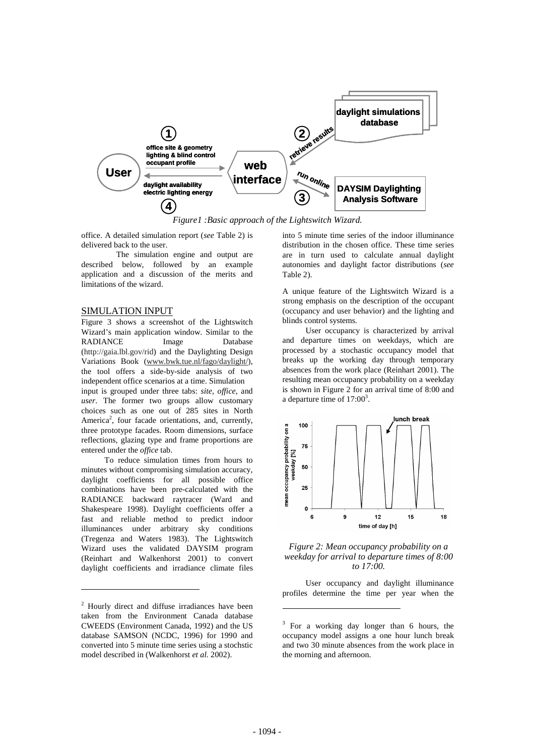

*Figure1 :Basic approach of the Lightswitch Wizard.*

office. A detailed simulation report (*see* Table 2) is delivered back to the user.

 The simulation engine and output are described below, followed by an example application and a discussion of the merits and limitations of the wizard.

### SIMULATION INPUT

Figure 3 shows a screenshot of the Lightswitch Wizard's main application window. Similar to the RADIANCE Image Database (http://gaia.lbl.gov/rid) and the Daylighting Design Variations Book (www.bwk.tue.nl/fago/daylight/), the tool offers a side-by-side analysis of two independent office scenarios at a time. Simulation

input is grouped under three tabs: *site, office*, and *user*. The former two groups allow customary choices such as one out of 285 sites in North America<sup>2</sup>, four facade orientations, and, currently, three prototype facades. Room dimensions, surface reflections, glazing type and frame proportions are entered under the *office* tab.

 To reduce simulation times from hours to minutes without compromising simulation accuracy, daylight coefficients for all possible office combinations have been pre-calculated with the RADIANCE backward raytracer (Ward and Shakespeare 1998). Daylight coefficients offer a fast and reliable method to predict indoor illuminances under arbitrary sky conditions (Tregenza and Waters 1983). The Lightswitch Wizard uses the validated DAYSIM program (Reinhart and Walkenhorst 2001) to convert daylight coefficients and irradiance climate files

 $\overline{a}$ 

into 5 minute time series of the indoor illuminance distribution in the chosen office. These time series are in turn used to calculate annual daylight autonomies and daylight factor distributions (*see* Table 2).

A unique feature of the Lightswitch Wizard is a strong emphasis on the description of the occupant (occupancy and user behavior) and the lighting and blinds control systems.

 User occupancy is characterized by arrival and departure times on weekdays, which are processed by a stochastic occupancy model that breaks up the working day through temporary absences from the work place (Reinhart 2001). The resulting mean occupancy probability on a weekday is shown in Figure 2 for an arrival time of 8:00 and a departure time of  $17:00^3$ .



*Figure 2: Mean occupancy probability on a weekday for arrival to departure times of 8:00 to 17:00.*

 User occupancy and daylight illuminance profiles determine the time per year when the

 $\overline{a}$ 

<sup>&</sup>lt;sup>2</sup> Hourly direct and diffuse irradiances have been taken from the Environment Canada database CWEEDS (Environment Canada, 1992) and the US database SAMSON (NCDC, 1996) for 1990 and converted into 5 minute time series using a stochstic model described in (Walkenhorst *et al.* 2002).

<sup>&</sup>lt;sup>3</sup> For a working day longer than 6 hours, the occupancy model assigns a one hour lunch break and two 30 minute absences from the work place in the morning and afternoon.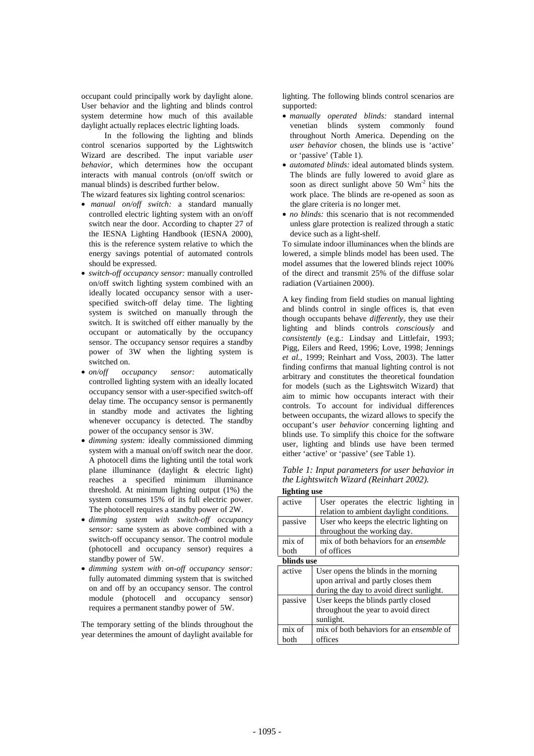occupant could principally work by daylight alone. User behavior and the lighting and blinds control system determine how much of this available daylight actually replaces electric lighting loads.

 In the following the lighting and blinds control scenarios supported by the Lightswitch Wizard are described. The input variable *user behavior,* which determines how the occupant interacts with manual controls (on/off switch or manual blinds) is described further below.

The wizard features six lighting control scenarios:

- *manual on/off switch:* a standard manually controlled electric lighting system with an on/off switch near the door. According to chapter 27 of the IESNA Lighting Handbook (IESNA 2000), this is the reference system relative to which the energy savings potential of automated controls should be expressed.
- *switch-off occupancy sensor:* manually controlled on/off switch lighting system combined with an ideally located occupancy sensor with a userspecified switch-off delay time. The lighting system is switched on manually through the switch. It is switched off either manually by the occupant or automatically by the occupancy sensor. The occupancy sensor requires a standby power of 3W when the lighting system is switched on.
- *on/off occupancy sensor:* automatically controlled lighting system with an ideally located occupancy sensor with a user-specified switch-off delay time. The occupancy sensor is permanently in standby mode and activates the lighting whenever occupancy is detected. The standby power of the occupancy sensor is 3W.
- *dimming system:* ideally commissioned dimming system with a manual on/off switch near the door. A photocell dims the lighting until the total work plane illuminance (daylight & electric light) reaches a specified minimum illuminance threshold. At minimum lighting output (1%) the system consumes 15% of its full electric power. The photocell requires a standby power of 2W.
- *dimming system with switch-off occupancy sensor:* same system as above combined with a switch-off occupancy sensor. The control module (photocell and occupancy sensor) requires a standby power of 5W.
- *dimming system with on-off occupancy sensor:* fully automated dimming system that is switched on and off by an occupancy sensor. The control module (photocell and occupancy sensor) requires a permanent standby power of 5W.

The temporary setting of the blinds throughout the year determines the amount of daylight available for lighting. The following blinds control scenarios are supported:

- *manually operated blinds: s*tandard internal venetian blinds system commonly found throughout North America. Depending on the *user behavior* chosen, the blinds use is 'active' or 'passive' (Table 1).
- *automated blinds:* ideal automated blinds system. The blinds are fully lowered to avoid glare as soon as direct sunlight above  $50 \, \text{Wm}^2$  hits the work place. The blinds are re-opened as soon as the glare criteria is no longer met.
- *no blinds*: this scenario that is not recommended unless glare protection is realized through a static device such as a light-shelf.

To simulate indoor illuminances when the blinds are lowered, a simple blinds model has been used. The model assumes that the lowered blinds reject 100% of the direct and transmit 25% of the diffuse solar radiation (Vartiainen 2000).

A key finding from field studies on manual lighting and blinds control in single offices is, that even though occupants behave *differently*, they use their lighting and blinds controls *consciously* and *consistently* (e.g.: Lindsay and Littlefair, 1993; Pigg, Eilers and Reed, 1996; Love, 1998; Jennings *et al.*, 1999; Reinhart and Voss, 2003). The latter finding confirms that manual lighting control is not arbitrary and constitutes the theoretical foundation for models (such as the Lightswitch Wizard) that aim to mimic how occupants interact with their controls. To account for individual differences between occupants, the wizard allows to specify the occupant's *user behavior* concerning lighting and blinds use. To simplify this choice for the software user, lighting and blinds use have been termed either 'active' or 'passive' (*see* Table 1).

*Table 1: Input parameters for user behavior in the Lightswitch Wizard (Reinhart 2002).*  **lighting use**

| пgнинg изс |                                                 |
|------------|-------------------------------------------------|
| active     | User operates the electric lighting in          |
|            | relation to ambient daylight conditions.        |
| passive    | User who keeps the electric lighting on         |
|            | throughout the working day.                     |
| mix of     | mix of both behaviors for an <i>ensemble</i>    |
| both       | of offices                                      |
| blinds use |                                                 |
| active     | User opens the blinds in the morning            |
|            | upon arrival and partly closes them             |
|            | during the day to avoid direct sunlight.        |
| passive    | User keeps the blinds partly closed             |
|            | throughout the year to avoid direct             |
|            | sunlight.                                       |
| mix of     | mix of both behaviors for an <i>ensemble</i> of |
| both       | offices                                         |
|            |                                                 |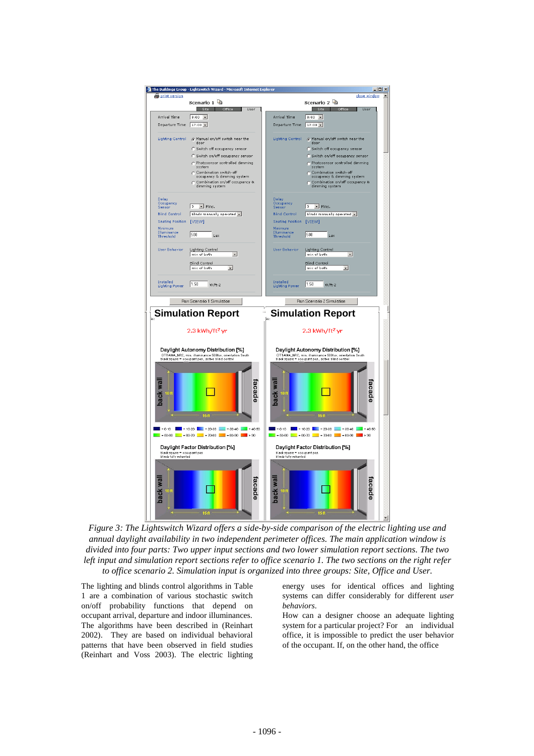

*Figure 3: The Lightswitch Wizard offers a side-by-side comparison of the electric lighting use and annual daylight availability in two independent perimeter offices. The main application window is divided into four parts: Two upper input sections and two lower simulation report sections. The two left input and simulation report sections refer to office scenario 1. The two sections on the right refer to office scenario 2. Simulation input is organized into three groups: Site, Office and User.* 

The lighting and blinds control algorithms in Table 1 are a combination of various stochastic switch on/off probability functions that depend on occupant arrival, departure and indoor illuminances. The algorithms have been described in (Reinhart 2002). They are based on individual behavioral patterns that have been observed in field studies (Reinhart and Voss 2003). The electric lighting energy uses for identical offices and lighting systems can differ considerably for different *user behaviors*.

How can a designer choose an adequate lighting system for a particular project? For an individual office, it is impossible to predict the user behavior of the occupant. If, on the other hand, the office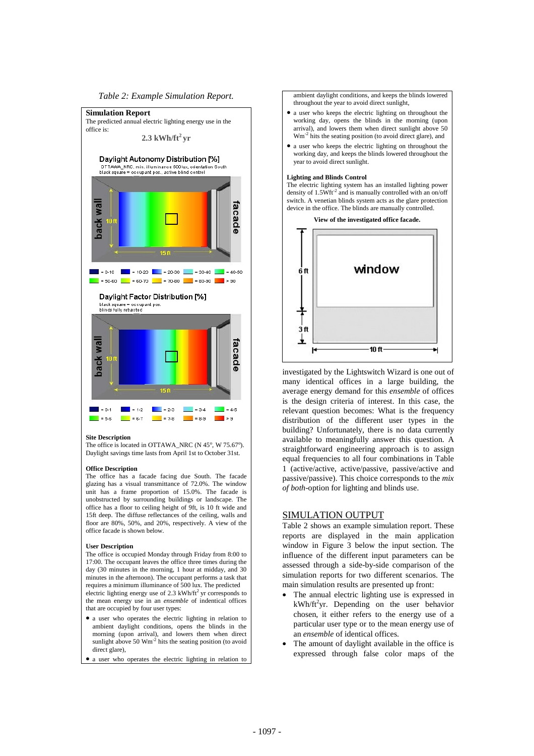

#### **Site Description**

The office is located in OTTAWA\_NRC (N 45°, W 75.67°). Daylight savings time lasts from April 1st to October 31st.

#### **Office Description**

The office has a facade facing due South. The facade glazing has a visual transmittance of 72.0%. The window unit has a frame proportion of 15.0%. The facade is unobstructed by surrounding buildings or landscape. The office has a floor to ceiling height of 9ft, is 10 ft wide and 15ft deep. The diffuse reflectances of the ceiling, walls and floor are 80%, 50%, and 20%, respectively. A view of the office facade is shown below.

#### **User Description**

The office is occupied Monday through Friday from 8:00 to 17:00. The occupant leaves the office three times during the day (30 minutes in the morning, 1 hour at midday, and 30 minutes in the afternoon). The occupant performs a task that requires a minimum illuminance of 500 lux. The predicted electric lighting energy use of 2.3 kWh/ft<sup>2</sup> yr corresponds to the mean energy use in an *ensemble* of indentical offices that are occupied by four user types:

- a user who operates the electric lighting in relation to ambient daylight conditions, opens the blinds in the morning (upon arrival), and lowers them when direct sunlight above 50 Wm<sup>-2</sup> hits the seating position (to avoid direct glare),
- a user who operates the electric lighting in relation to

ambient daylight conditions, and keeps the blinds lowered throughout the year to avoid direct sunlight,

- a user who keeps the electric lighting on throughout the working day, opens the blinds in the morning (upon arrival), and lowers them when direct sunlight above 50 Wm-2 hits the seating position (to avoid direct glare), and
- a user who keeps the electric lighting on throughout the working day, and keeps the blinds lowered throughout the year to avoid direct sunlight.

#### **Lighting and Blinds Control**

The electric lighting system has an installed lighting power density of 1.5Wft<sup>-2</sup> and is manually controlled with an on/off switch. A venetian blinds system acts as the glare protection device in the office. The blinds are manually controlled.

**View of the investigated office facade.** 



investigated by the Lightswitch Wizard is one out of many identical offices in a large building, the average energy demand for this *ensemble* of offices is the design criteria of interest. In this case, the relevant question becomes: What is the frequency distribution of the different user types in the building? Unfortunately, there is no data currently available to meaningfully answer this question. A straightforward engineering approach is to assign equal frequencies to all four combinations in Table 1 (active/active, active/passive, passive/active and passive/passive). This choice corresponds to the *mix of both*-option for lighting and blinds use.

### SIMULATION OUTPUT

Table 2 shows an example simulation report. These reports are displayed in the main application window in Figure 3 below the input section. The influence of the different input parameters can be assessed through a side-by-side comparison of the simulation reports for two different scenarios. The main simulation results are presented up front:

- The annual electric lighting use is expressed in kWh/ft<sup>2</sup>yr. Depending on the user behavior chosen, it either refers to the energy use of a particular user type or to the mean energy use of an *ensemble* of identical offices.
- The amount of daylight available in the office is expressed through false color maps of the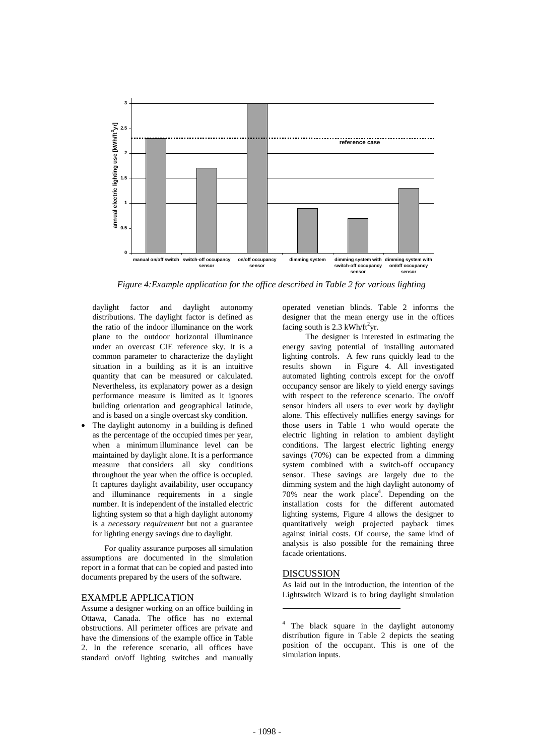

*Figure 4:Example application for the office described in Table 2 for various lighting* 

daylight factor and daylight autonomy distributions. The daylight factor is defined as the ratio of the indoor illuminance on the work plane to the outdoor horizontal illuminance under an overcast CIE reference sky. It is a common parameter to characterize the daylight situation in a building as it is an intuitive quantity that can be measured or calculated. Nevertheless, its explanatory power as a design performance measure is limited as it ignores building orientation and geographical latitude, and is based on a single overcast sky condition.

The daylight autonomy in a building is defined as the percentage of the occupied times per year, when a minimum illuminance level can be maintained by daylight alone. It is a performance measure that considers all sky conditions throughout the year when the office is occupied. It captures daylight availability, user occupancy and illuminance requirements in a single number. It is independent of the installed electric lighting system so that a high daylight autonomy is a *necessary requirement* but not a guarantee for lighting energy savings due to daylight.

 For quality assurance purposes all simulation assumptions are documented in the simulation report in a format that can be copied and pasted into documents prepared by the users of the software.

### EXAMPLE APPLICATION

Assume a designer working on an office building in Ottawa, Canada. The office has no external obstructions. All perimeter offices are private and have the dimensions of the example office in Table 2. In the reference scenario, all offices have standard on/off lighting switches and manually

operated venetian blinds. Table 2 informs the designer that the mean energy use in the offices facing south is  $2.3 \text{ kWh/ft}^2 \text{yr}$ .

 The designer is interested in estimating the energy saving potential of installing automated lighting controls. A few runs quickly lead to the results shown in Figure 4. All investigated automated lighting controls except for the on/off occupancy sensor are likely to yield energy savings with respect to the reference scenario. The on/off sensor hinders all users to ever work by daylight alone. This effectively nullifies energy savings for those users in Table 1 who would operate the electric lighting in relation to ambient daylight conditions. The largest electric lighting energy savings (70%) can be expected from a dimming system combined with a switch-off occupancy sensor. These savings are largely due to the dimming system and the high daylight autonomy of 70% near the work place<sup>4</sup>. Depending on the installation costs for the different automated lighting systems, Figure 4 allows the designer to quantitatively weigh projected payback times against initial costs. Of course, the same kind of analysis is also possible for the remaining three facade orientations.

# DISCUSSION

 $\overline{a}$ 

As laid out in the introduction, the intention of the Lightswitch Wizard is to bring daylight simulation

<sup>&</sup>lt;sup>4</sup> The black square in the daylight autonomy distribution figure in Table 2 depicts the seating position of the occupant. This is one of the simulation inputs.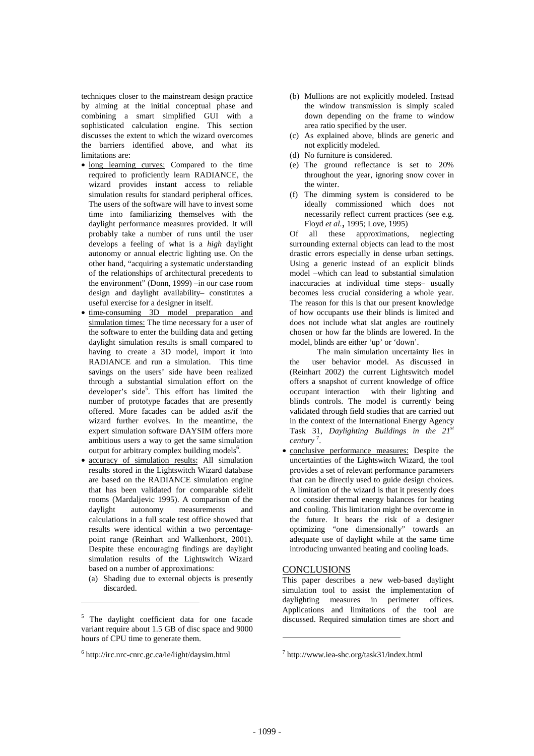techniques closer to the mainstream design practice by aiming at the initial conceptual phase and combining a smart simplified GUI with a sophisticated calculation engine. This section discusses the extent to which the wizard overcomes the barriers identified above, and what its limitations are:

- long learning curves: Compared to the time required to proficiently learn RADIANCE, the wizard provides instant access to reliable simulation results for standard peripheral offices. The users of the software will have to invest some time into familiarizing themselves with the daylight performance measures provided. It will probably take a number of runs until the user develops a feeling of what is a *high* daylight autonomy or annual electric lighting use. On the other hand, "acquiring a systematic understanding of the relationships of architectural precedents to the environment" (Donn, 1999) –in our case room design and daylight availability– constitutes a useful exercise for a designer in itself.
- time-consuming 3D model preparation and simulation times: The time necessary for a user of the software to enter the building data and getting daylight simulation results is small compared to having to create a 3D model, import it into RADIANCE and run a simulation. This time savings on the users' side have been realized through a substantial simulation effort on the developer's side<sup>5</sup>. This effort has limited the number of prototype facades that are presently offered. More facades can be added as/if the wizard further evolves. In the meantime, the expert simulation software DAYSIM offers more ambitious users a way to get the same simulation output for arbitrary complex building models $6$ .
- accuracy of simulation results: All simulation results stored in the Lightswitch Wizard database are based on the RADIANCE simulation engine that has been validated for comparable sidelit rooms (Mardaljevic 1995). A comparison of the daylight autonomy measurements and calculations in a full scale test office showed that results were identical within a two percentagepoint range (Reinhart and Walkenhorst, 2001). Despite these encouraging findings are daylight simulation results of the Lightswitch Wizard based on a number of approximations:
	- (a) Shading due to external objects is presently discarded.

 $\overline{a}$ 

- (b) Mullions are not explicitly modeled. Instead the window transmission is simply scaled down depending on the frame to window area ratio specified by the user.
- (c) As explained above, blinds are generic and not explicitly modeled.
- (d) No furniture is considered.
- (e) The ground reflectance is set to 20% throughout the year, ignoring snow cover in the winter.
- (f) The dimming system is considered to be ideally commissioned which does not necessarily reflect current practices (see e.g. Floyd *et al.*, 1995; Love, 1995)

Of all these approximations, neglecting surrounding external objects can lead to the most drastic errors especially in dense urban settings. Using a generic instead of an explicit blinds model –which can lead to substantial simulation inaccuracies at individual time steps– usually becomes less crucial considering a whole year. The reason for this is that our present knowledge of how occupants use their blinds is limited and does not include what slat angles are routinely chosen or how far the blinds are lowered. In the model, blinds are either 'up' or 'down'.

 The main simulation uncertainty lies in the user behavior model. As discussed in (Reinhart 2002) the current Lightswitch model offers a snapshot of current knowledge of office occupant interaction with their lighting and blinds controls. The model is currently being validated through field studies that are carried out in the context of the International Energy Agency Task 31, *Daylighting Buildings in the 21st century* <sup>7</sup> .

• conclusive performance measures: Despite the uncertainties of the Lightswitch Wizard, the tool provides a set of relevant performance parameters that can be directly used to guide design choices. A limitation of the wizard is that it presently does not consider thermal energy balances for heating and cooling. This limitation might be overcome in the future. It bears the risk of a designer optimizing "one dimensionally" towards an adequate use of daylight while at the same time introducing unwanted heating and cooling loads.

## **CONCLUSIONS**

This paper describes a new web-based daylight simulation tool to assist the implementation of daylighting measures in perimeter offices. Applications and limitations of the tool are discussed. Required simulation times are short and

 $\overline{a}$ 

<sup>&</sup>lt;sup>5</sup> The daylight coefficient data for one facade variant require about 1.5 GB of disc space and 9000 hours of CPU time to generate them.

<sup>6</sup> http://irc.nrc-cnrc.gc.ca/ie/light/daysim.html

<sup>7</sup> http://www.iea-shc.org/task31/index.html